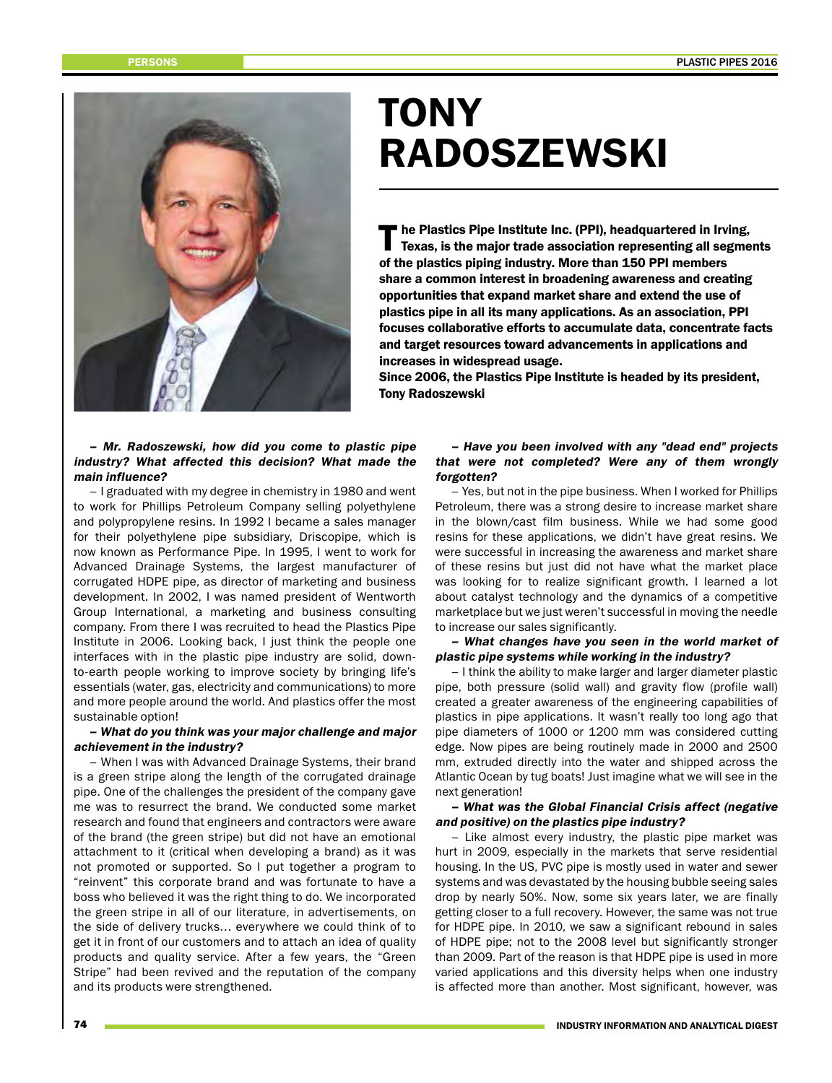

# **TONY** RADOSZEWSKI

Ine Plastics Pipe Institute Inc. (PPI), headquartered in Irving, Texas, is the major trade association representing all segments of the plastics piping industry. More than 150 PPI members share a common interest in broadening awareness and creating opportunities that expand market share and extend the use of plastics pipe in all its many applications. As an association, PPI focuses collaborative efforts to accumulate data, concentrate facts and target resources toward advancements in applications and increases in widespread usage.

Since 2006, the Plastics Pipe Institute is headed by its president, Tony Radoszewski

# – Mr. Radoszewski, how did you come to plastic pipe industry? What affected this decision? What made the main influence?

– I graduated with my degree in chemistry in 1980 and went to work for Phillips Petroleum Company selling polyethylene and polypropylene resins. In 1992 I became a sales manager for their polyethylene pipe subsidiary, Driscopipe, which is now known as Performance Pipe. In 1995, I went to work for Advanced Drainage Systems, the largest manufacturer of corrugated HDPE pipe, as director of marketing and business development. In 2002, I was named president of Wentworth Group International, a marketing and business consulting company. From there I was recruited to head the Plastics Pipe Institute in 2006. Looking back, I just think the people one interfaces with in the plastic pipe industry are solid, downto-earth people working to improve society by bringing life's essentials (water, gas, electricity and communications) to more and more people around the world. And plastics offer the most sustainable option!

# – What do you think was your major challenge and major achievement in the industry?

– When I was with Advanced Drainage Systems, their brand is a green stripe along the length of the corrugated drainage pipe. One of the challenges the president of the company gave me was to resurrect the brand. We conducted some market research and found that engineers and contractors were aware of the brand (the green stripe) but did not have an emotional attachment to it (critical when developing a brand) as it was not promoted or supported. So I put together a program to "reinvent" this corporate brand and was fortunate to have a boss who believed it was the right thing to do. We incorporated the green stripe in all of our literature, in advertisements, on the side of delivery trucks… everywhere we could think of to get it in front of our customers and to attach an idea of quality products and quality service. After a few years, the "Green Stripe" had been revived and the reputation of the company and its products were strengthened.

# – Have you been involved with any "dead end" projects that were not completed? Were any of them wrongly forgotten?

– Yes, but not in the pipe business. When I worked for Phillips Petroleum, there was a strong desire to increase market share in the blown/cast film business. While we had some good resins for these applications, we didn't have great resins. We were successful in increasing the awareness and market share of these resins but just did not have what the market place was looking for to realize significant growth. I learned a lot about catalyst technology and the dynamics of a competitive marketplace but we just weren't successful in moving the needle to increase our sales significantly.

# – What changes have you seen in the world market of plastic pipe systems while working in the industry?

– I think the ability to make larger and larger diameter plastic pipe, both pressure (solid wall) and gravity flow (profile wall) created a greater awareness of the engineering capabilities of plastics in pipe applications. It wasn't really too long ago that pipe diameters of 1000 or 1200 mm was considered cutting edge. Now pipes are being routinely made in 2000 and 2500 mm, extruded directly into the water and shipped across the Atlantic Ocean by tug boats! Just imagine what we will see in the next generation!

# – What was the Global Financial Crisis affect (negative and positive) on the plastics pipe industry?

– Like almost every industry, the plastic pipe market was hurt in 2009, especially in the markets that serve residential housing. In the US, PVC pipe is mostly used in water and sewer systems and was devastated by the housing bubble seeing sales drop by nearly 50%. Now, some six years later, we are finally getting closer to a full recovery. However, the same was not true for HDPE pipe. In 2010, we saw a significant rebound in sales of HDPE pipe; not to the 2008 level but significantly stronger than 2009. Part of the reason is that HDPE pipe is used in more varied applications and this diversity helps when one industry is affected more than another. Most significant, however, was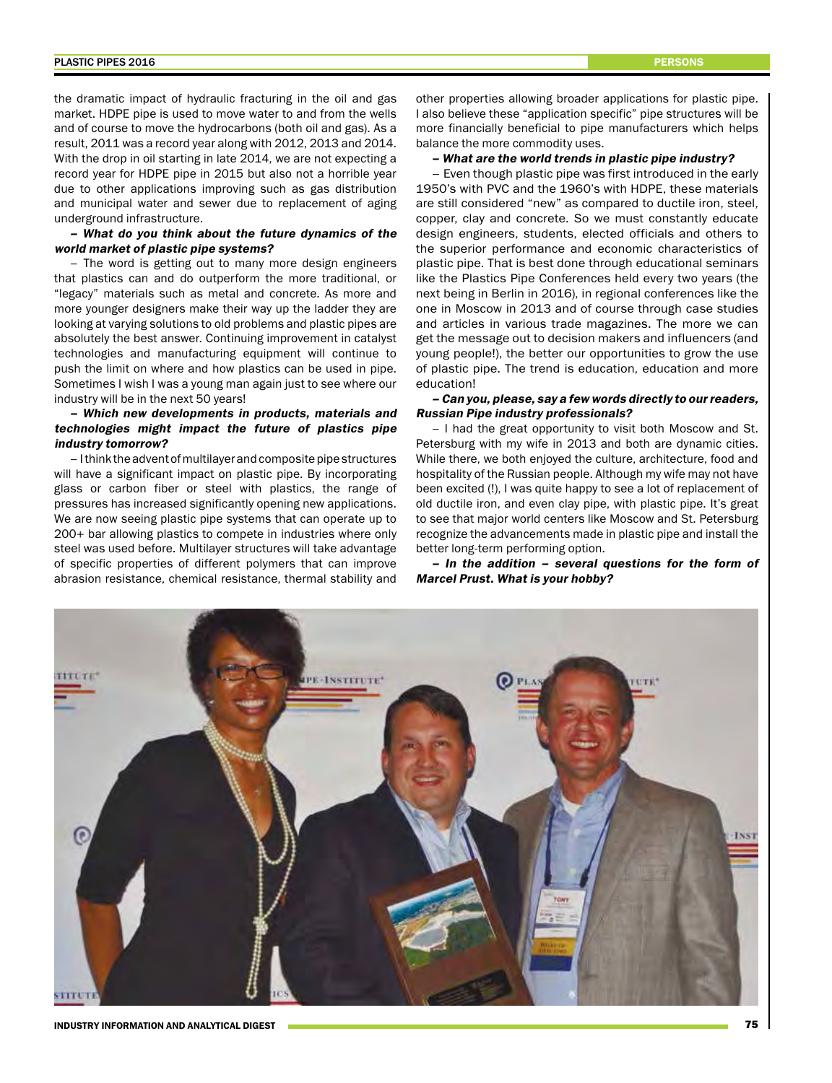the dramatic impact of hydraulic fracturing in the oil and gas market. HDPE pipe is used to move water to and from the wells and of course to move the hydrocarbons (both oil and gas). As a result, 2011 was a record year along with 2012, 2013 and 2014. With the drop in oil starting in late 2014, we are not expecting a record year for HDPE pipe in 2015 but also not a horrible year due to other applications improving such as gas distribution and municipal water and sewer due to replacement of aging underground infrastructure.

## – What do you think about the future dynamics of the world market of plastic pipe systems?

– The word is getting out to many more design engineers that plastics can and do outperform the more traditional, or "legacy" materials such as metal and concrete. As more and more younger designers make their way up the ladder they are looking at varying solutions to old problems and plastic pipes are absolutely the best answer. Continuing improvement in catalyst technologies and manufacturing equipment will continue to push the limit on where and how plastics can be used in pipe. Sometimes I wish I was a young man again just to see where our industry will be in the next 50 years!

# – Which new developments in products, materials and technologies might impact the future of plastics pipe industry tomorrow?

– I think the advent of multilayer and composite pipe structures will have a significant impact on plastic pipe. By incorporating glass or carbon fiber or steel with plastics, the range of pressures has increased significantly opening new applications. We are now seeing plastic pipe systems that can operate up to 200+ bar allowing plastics to compete in industries where only steel was used before. Multilayer structures will take advantage of specific properties of different polymers that can improve abrasion resistance, chemical resistance, thermal stability and

other properties allowing broader applications for plastic pipe. I also believe these "application specific" pipe structures will be more financially beneficial to pipe manufacturers which helps balance the more commodity uses.

#### – What are the world trends in plastic pipe industry?

– Even though plastic pipe was first introduced in the early 1950's with PVC and the 1960's with HDPE, these materials are still considered "new" as compared to ductile iron, steel, copper, clay and concrete. So we must constantly educate design engineers, students, elected officials and others to the superior performance and economic characteristics of plastic pipe. That is best done through educational seminars like the Plastics Pipe Conferences held every two years (the next being in Berlin in 2016), in regional conferences like the one in Moscow in 2013 and of course through case studies and articles in various trade magazines. The more we can get the message out to decision makers and influencers (and young people!), the better our opportunities to grow the use of plastic pipe. The trend is education, education and more education!

# – Can you, please, say a few words directly to our readers, Russian Pipe industry professionals?

– I had the great opportunity to visit both Moscow and St. Petersburg with my wife in 2013 and both are dynamic cities. While there, we both enjoyed the culture, architecture, food and hospitality of the Russian people. Although my wife may not have been excited (!), I was quite happy to see a lot of replacement of old ductile iron, and even clay pipe, with plastic pipe. It's great to see that major world centers like Moscow and St. Petersburg recognize the advancements made in plastic pipe and install the better long-term performing option.

– In the addition – several questions for the form of Marcel Prust. What is your hobby?